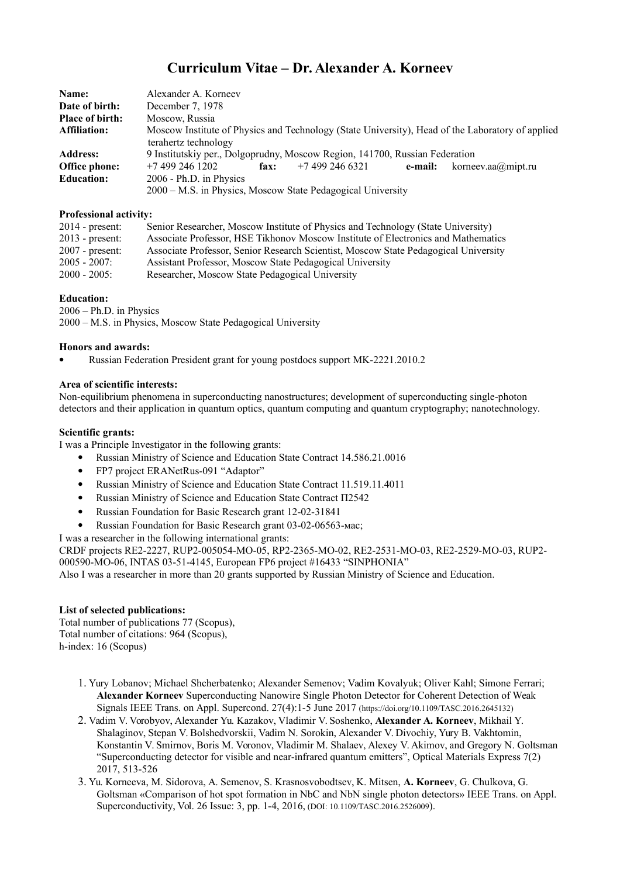# **Curriculum Vitae – Dr. Alexander A. Korneev**

| Name:                  | Alexander A. Korneev                                                                                                     |
|------------------------|--------------------------------------------------------------------------------------------------------------------------|
| Date of birth:         | December 7, 1978                                                                                                         |
| <b>Place of birth:</b> | Moscow, Russia                                                                                                           |
| <b>Affiliation:</b>    | Moscow Institute of Physics and Technology (State University), Head of the Laboratory of applied<br>terahertz technology |
| <b>Address:</b>        | 9 Institutskiy per., Dolgoprudny, Moscow Region, 141700, Russian Federation                                              |
| <b>Office phone:</b>   | $+7$ 499 246 1202<br>+7 499 246 6321<br>korneev.aa $@$ mipt.ru<br>fax:<br>e-mail:                                        |
| <b>Education:</b>      | 2006 - Ph.D. in Physics                                                                                                  |
|                        | 2000 – M.S. in Physics, Moscow State Pedagogical University                                                              |

### **Professional activity:**

| $2014$ - present: | Senior Researcher, Moscow Institute of Physics and Technology (State University)    |
|-------------------|-------------------------------------------------------------------------------------|
| $2013$ - present: | Associate Professor, HSE Tikhonov Moscow Institute of Electronics and Mathematics   |
| $2007$ - present: | Associate Professor, Senior Research Scientist, Moscow State Pedagogical University |
| $2005 - 2007$ :   | Assistant Professor, Moscow State Pedagogical University                            |
| $2000 - 2005$     | Researcher, Moscow State Pedagogical University                                     |

## **Education:**

2006 – Ph.D. in Physics 2000 – M.S. in Physics, Moscow State Pedagogical University

#### **Honors and awards:**

Russian Federation President grant for young postdocs support MK-2221.2010.2

#### **Area of scientific interests:**

Non-equilibrium phenomena in superconducting nanostructures; development of superconducting single-photon detectors and their application in quantum optics, quantum computing and quantum cryptography; nanotechnology.

#### **Scientific grants:**

I was a Principle Investigator in the following grants:

- Russian Ministry of Science and Education State Contract 14.586.21.0016
- FP7 project ERANetRus-091 "Adaptor"
- Russian Ministry of Science and Education State Contract 11.519.11.4011
- Russian Ministry of Science and Education State Contract П2542
- Russian Foundation for Basic Research grant 12-02-31841
- Russian Foundation for Basic Research grant 03-02-06563-мас;

I was a researcher in the following international grants:

CRDF projects RE2-2227, RUP2-005054-MO-05, RP2-2365-MO-02, RE2-2531-MO-03, RE2-2529-MO-03, RUP2- 000590-MO-06, INTAS 03-51-4145, European FP6 project #16433 "SINPHONIA"

Also I was a researcher in more than 20 grants supported by Russian Ministry of Science and Education.

## **List of selected publications:**

Total number of publications 77 (Scopus), Total number of citations: 964 (Scopus), h-index: 16 (Scopus)

- 1. Yury Lobanov; Michael Shcherbatenko; Alexander Semenov; Vadim Kovalyuk; Oliver Kahl; Simone Ferrari; **Alexander Korneev** Superconducting Nanowire Single Photon Detector for Coherent Detection of Weak Signals IEEE Trans. on Appl. Supercond. 27(4):1-5 June 2017 (https://doi.org/10.1109/TASC.2016.2645132)
- 2. Vadim V. Vorobyov, Alexander Yu. Kazakov, Vladimir V. Soshenko, **Alexander A. Korneev**, Mikhail Y. Shalaginov, Stepan V. Bolshedvorskii, Vadim N. Sorokin, Alexander V. Divochiy, Yury B. Vakhtomin, Konstantin V. Smirnov, Boris M. Voronov, Vladimir M. Shalaev, Alexey V. Akimov, and Gregory N. Goltsman "Superconducting detector for visible and near-infrared quantum emitters", Optical Materials Express 7(2) 2017, 513-526
- 3. Yu. Korneeva, M. Sidorova, A. Semenov, S. Krasnosvobodtsev, K. Mitsen, **A. Korneev**, G. Chulkova, G. Goltsman «Comparison of hot spot formation in NbC and NbN single photon detectors» IEEE Trans. on Appl. Superconductivity, Vol. 26 Issue: 3, pp. 1-4, 2016, (DOI: 10.1109/TASC.2016.2526009).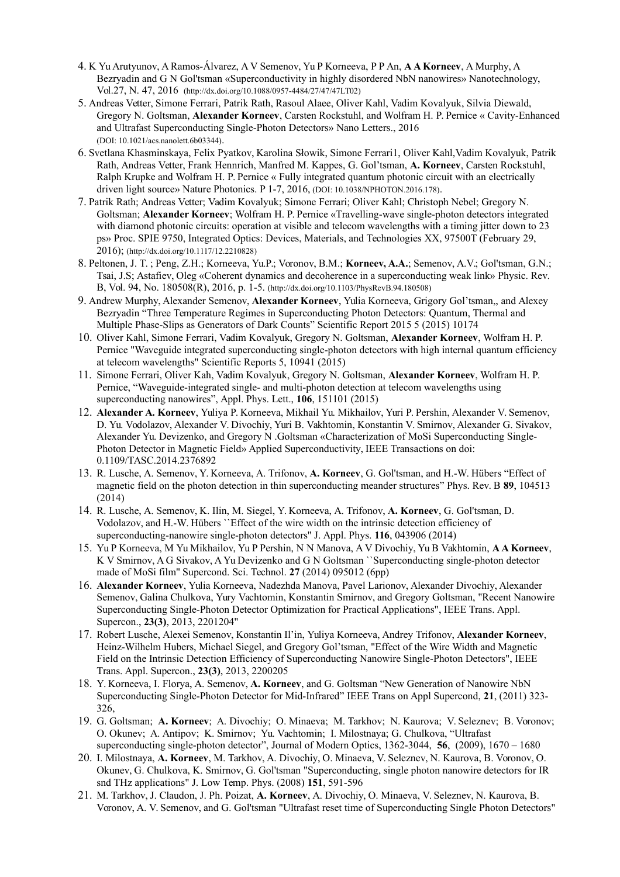- 4. K Yu Arutyunov, A Ramos-Álvarez, A V Semenov, Yu P Korneeva, P P An, **A A Korneev**, A Murphy, A Bezryadin and G N Gol'tsman «Superconductivity in highly disordered NbN nanowires» Nanotechnology, Vol.27, N. 47, 2016 (http://dx.doi.org/10.1088/0957-4484/27/47/47LT02)
- 5. Andreas Vetter, Simone Ferrari, Patrik Rath, Rasoul Alaee, Oliver Kahl, Vadim Kovalyuk, Silvia Diewald, Gregory N. Goltsman, **Alexander Korneev**, Carsten Rockstuhl, and Wolfram H. P. Pernice « Cavity-Enhanced and Ultrafast Superconducting Single-Photon Detectors» Nano Letters., 2016 (DOI: 10.1021/acs.nanolett.6b03344).
- 6. Svetlana Khasminskaya, Felix Pyatkov, Karolina Słowik, Simone Ferrari1, Oliver Kahl,Vadim Kovalyuk, Patrik Rath, Andreas Vetter, Frank Hennrich, Manfred M. Kappes, G. Gol'tsman, **A. Korneev**, Carsten Rockstuhl, Ralph Krupke and Wolfram H. P. Pernice « Fully integrated quantum photonic circuit with an electrically driven light source» Nature Photonics. P 1-7, 2016, (DOI: 10.1038/NPHOTON.2016.178).
- 7. Patrik Rath; Andreas Vetter; Vadim Kovalyuk; Simone Ferrari; Oliver Kahl; Christoph Nebel; Gregory N. Goltsman; **Alexander Korneev**; Wolfram H. P. Pernice «Travelling-wave single-photon detectors integrated with diamond photonic circuits: operation at visible and telecom wavelengths with a timing jitter down to 23 ps» Proc. SPIE 9750, Integrated Optics: Devices, Materials, and Technologies XX, 97500T (February 29, 2016); (http://dx.doi.org/10.1117/12.2210828)
- 8. Peltonen, J. T. ; Peng, Z.H.; Korneeva, Yu.P.; Voronov, B.M.; **Korneev, A.A.**; Semenov, A.V.; Gol'tsman, G.N.; Tsai, J.S; Astafiev, Oleg «Coherent dynamics and decoherence in a superconducting weak link» Physic. Rev. B, Vol. 94, No. 180508(R), 2016, p. 1-5. (http://dx.doi.org/10.1103/PhysRevB.94.180508)
- 9. Andrew Murphy, Alexander Semenov, **Alexander Korneev**, Yulia Korneeva, Grigory Gol'tsman,, and Alexey Bezryadin "Three Temperature Regimes in Superconducting Photon Detectors: Quantum, Thermal and Multiple Phase-Slips as Generators of Dark Counts" Scientific Report 2015 5 (2015) 10174
- 10. Oliver Kahl, Simone Ferrari, Vadim Kovalyuk, Gregory N. Goltsman, **Alexander Korneev**, Wolfram H. P. Pernice "Waveguide integrated superconducting single-photon detectors with high internal quantum efficiency at telecom wavelengths" Scientific Reports 5, 10941 (2015)
- 11. Simone Ferrari, Oliver Kah, Vadim Kovalyuk, Gregory N. Goltsman, **Alexander Korneev**, Wolfram H. P. Pernice, "Waveguide-integrated single- and multi-photon detection at telecom wavelengths using superconducting nanowires", Appl. Phys. Lett., **106**, 151101 (2015)
- 12. **Alexander A. Korneev**, Yuliya P. Korneeva, Mikhail Yu. Mikhailov, Yuri P. Pershin, Alexander V. Semenov, D. Yu. Vodolazov, Alexander V. Divochiy, Yuri B. Vakhtomin, Konstantin V. Smirnov, Alexander G. Sivakov, Alexander Yu. Devizenko, and Gregory N .Goltsman «Characterization of MoSi Superconducting Single-Photon Detector in Magnetic Field» Applied Superconductivity, IEEE Transactions on doi: 0.1109/TASC.2014.2376892
- 13. R. Lusche, A. Semenov, Y. Korneeva, A. Trifonov, **A. Korneev**, G. Gol'tsman, and H.-W. Hübers "Effect of magnetic field on the photon detection in thin superconducting meander structures" Phys. Rev. B **89**, 104513 (2014)
- 14. R. Lusche, A. Semenov, K. Ilin, M. Siegel, Y. Korneeva, A. Trifonov, **A. Korneev**, G. Gol'tsman, D. Vodolazov, and H.-W. Hübers ``Effect of the wire width on the intrinsic detection efficiency of superconducting-nanowire single-photon detectors'' J. Appl. Phys. **116**, 043906 (2014)
- 15. Yu P Korneeva, M Yu Mikhailov, Yu P Pershin, N N Manova, A V Divochiy, Yu B Vakhtomin, **A A Korneev**, K V Smirnov, A G Sivakov, A Yu Devizenko and G N Goltsman ``Superconducting single-photon detector made of MoSi film'' Supercond. Sci. Technol. **27** (2014) 095012 (6pp)
- 16. **Alexander Korneev**, Yulia Korneeva, Nadezhda Manova, Pavel Larionov, Alexander Divochiy, Alexander Semenov, Galina Chulkova, Yury Vachtomin, Konstantin Smirnov, and Gregory Goltsman, "Recent Nanowire Superconducting Single-Photon Detector Optimization for Practical Applications", IEEE Trans. Appl. Supercon., **23(3)**, 2013, 2201204"
- 17. Robert Lusche, Alexei Semenov, Konstantin Il'in, Yuliya Korneeva, Andrey Trifonov, **Alexander Korneev**, Heinz-Wilhelm Hubers, Michael Siegel, and Gregory Gol'tsman, "Effect of the Wire Width and Magnetic Field on the Intrinsic Detection Efficiency of Superconducting Nanowire Single-Photon Detectors", IEEE Trans. Appl. Supercon., **23(3)**, 2013, 2200205
- 18. Y. Korneeva, I. Florya, A. Semenov, **A. Korneev**, and G. Goltsman "New Generation of Nanowire NbN Superconducting Single-Photon Detector for Mid-Infrared" IEEE Trans on Appl Supercond, **21**, (2011) 323- 326,
- 19. G. Goltsman; **A. Korneev**; A. Divochiy; O. Minaeva; M. Tarkhov; N. Kaurova; V. Seleznev; B. Voronov; O. Okunev; A. Antipov; K. Smirnov; Yu. Vachtomin; I. Milostnaya; G. Chulkova, "Ultrafast superconducting single-photon detector", Journal of Modern Optics, 1362-3044, **56**, (2009), 1670 – 1680
- 20. I. Milostnaya, **A. Korneev**, M. Tarkhov, A. Divochiy, O. Minaeva, V. Seleznev, N. Kaurova, B. Voronov, O. Okunev, G. Chulkova, K. Smirnov, G. Gol'tsman "Superconducting, single photon nanowire detectors for IR snd THz applications" J. Low Temp. Phys. (2008) **151**, 591-596
- 21. M. Tarkhov, J. Claudon, J. Ph. Poizat, **A. Korneev**, A. Divochiy, O. Minaeva, V. Seleznev, N. Kaurova, B. Voronov, A. V. Semenov, and G. Gol'tsman "Ultrafast reset time of Superconducting Single Photon Detectors"